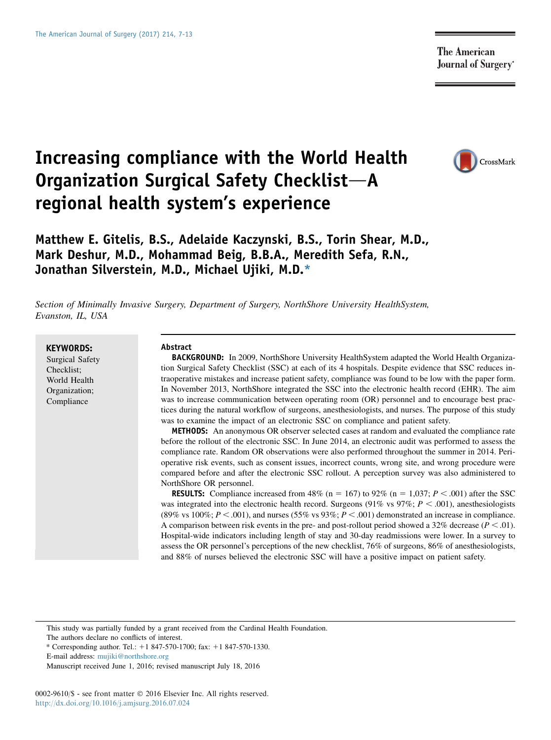**The American Journal of Surgery**\*

# Increasing compliance with the World Health Organization Surgical Safety Checklist-A regional health system's experience



# Matthew E. Gitelis, B.S., Adelaide Kaczynski, B.S., Torin Shear, M.D., Mark Deshur, M.D., Mohammad Beig, B.B.A., Meredith Sefa, R.N., Jonathan Silverstein, M.D., Michael Ujiki, M.D.\*

Section of Minimally Invasive Surgery, Department of Surgery, NorthShore University HealthSystem,<br>Evanston, IL, USA  $\equiv$ ,  $\ldots$ ,  $\ldots$ ,  $\ldots$ ,  $\ldots$ 

KEYWORDS: Surgical Safety Checklist; World Health Organization; Compliance

#### Abstract

BACKGROUND: In 2009, NorthShore University HealthSystem adapted the World Health Organization Surgical Safety Checklist (SSC) at each of its 4 hospitals. Despite evidence that SSC reduces intraoperative mistakes and increase patient safety, compliance was found to be low with the paper form. In November 2013, NorthShore integrated the SSC into the electronic health record (EHR). The aim was to increase communication between operating room (OR) personnel and to encourage best practices during the natural workflow of surgeons, anesthesiologists, and nurses. The purpose of this study was to examine the impact of an electronic SSC on compliance and patient safety.

METHODS: An anonymous OR observer selected cases at random and evaluated the compliance rate before the rollout of the electronic SSC. In June 2014, an electronic audit was performed to assess the compliance rate. Random OR observations were also performed throughout the summer in 2014. Perioperative risk events, such as consent issues, incorrect counts, wrong site, and wrong procedure were compared before and after the electronic SSC rollout. A perception survey was also administered to NorthShore OR personnel.

**RESULTS:** Compliance increased from 48% (n = 167) to 92% (n = 1,037;  $P < .001$ ) after the SSC was integrated into the electronic health record. Surgeons (91% vs  $97\%$ ;  $P < .001$ ), anesthesiologists (89% vs 100%;  $P < .001$ ), and nurses (55% vs 93%;  $P < .001$ ) demonstrated an increase in compliance. A comparison between risk events in the pre- and post-rollout period showed a 32% decrease ( $P < .01$ ). Hospital-wide indicators including length of stay and 30-day readmissions were lower. In a survey to assess the OR personnel's perceptions of the new checklist, 76% of surgeons, 86% of anesthesiologists, and 88% of nurses believed the electronic SSC will have a positive impact on patient safety.

This study was partially funded by a grant received from the Cardinal Health Foundation.

The authors declare no conflicts of interest.

E-mail address: [mujiki@northshore.org](mailto:mujiki@northshore.org)

0002-9610/\$ - see front matter © 2016 Elsevier Inc. All rights reserved. <http://dx.doi.org/10.1016/j.amjsurg.2016.07.024>

<sup>\*</sup> Corresponding author. Tel.:  $+1$  847-570-1700; fax:  $+1$  847-570-1330.

Manuscript received June 1, 2016; revised manuscript July 18, 2016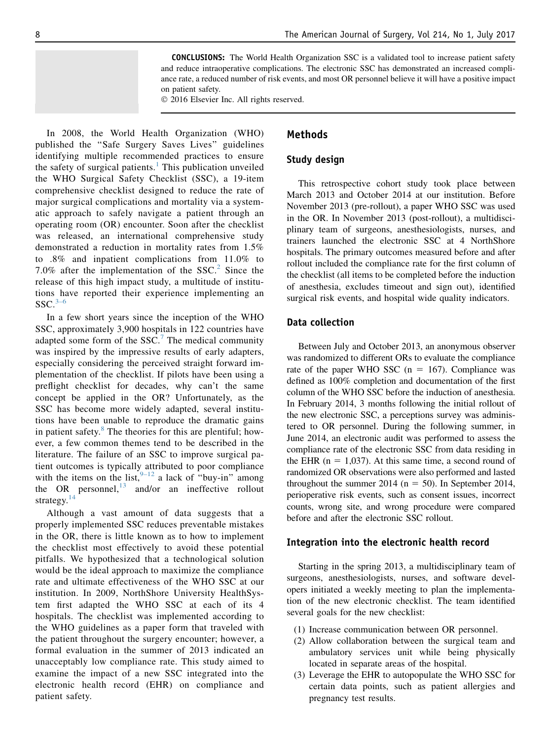CONCLUSIONS: The World Health Organization SSC is a validated tool to increase patient safety and reduce intraoperative complications. The electronic SSC has demonstrated an increased compliance rate, a reduced number of risk events, and most OR personnel believe it will have a positive impact on patient safety.

2016 Elsevier Inc. All rights reserved.

In 2008, the World Health Organization (WHO) published the ''Safe Surgery Saves Lives'' guidelines identifying multiple recommended practices to ensure the safety of surgical patients.<sup>[1](#page-6-0)</sup> This publication unveiled the WHO Surgical Safety Checklist (SSC), a 19-item comprehensive checklist designed to reduce the rate of major surgical complications and mortality via a systematic approach to safely navigate a patient through an operating room (OR) encounter. Soon after the checklist was released, an international comprehensive study demonstrated a reduction in mortality rates from 1.5% to .8% and inpatient complications from 11.0% to 7.0% after the implementation of the  $SSC<sup>2</sup>$  $SSC<sup>2</sup>$  $SSC<sup>2</sup>$  Since the release of this high impact study, a multitude of institutions have reported their experience implementing an  $SSC.<sup>3–6</sup>$  $SSC.<sup>3–6</sup>$  $SSC.<sup>3–6</sup>$ 

In a few short years since the inception of the WHO SSC, approximately 3,900 hospitals in 122 countries have adapted some form of the  $SSC$ .<sup>[7](#page-6-0)</sup> The medical community was inspired by the impressive results of early adapters, especially considering the perceived straight forward implementation of the checklist. If pilots have been using a preflight checklist for decades, why can't the same concept be applied in the OR? Unfortunately, as the SSC has become more widely adapted, several institutions have been unable to reproduce the dramatic gains in patient safety. $8$  The theories for this are plentiful; however, a few common themes tend to be described in the literature. The failure of an SSC to improve surgical patient outcomes is typically attributed to poor compliance with the items on the list,  $9-12$  a lack of "buy-in" among the OR personnel,<sup>[13](#page-6-0)</sup> and/or an ineffective rollout strategy. $14$ 

Although a vast amount of data suggests that a properly implemented SSC reduces preventable mistakes in the OR, there is little known as to how to implement the checklist most effectively to avoid these potential pitfalls. We hypothesized that a technological solution would be the ideal approach to maximize the compliance rate and ultimate effectiveness of the WHO SSC at our institution. In 2009, NorthShore University HealthSystem first adapted the WHO SSC at each of its 4 hospitals. The checklist was implemented according to the WHO guidelines as a paper form that traveled with the patient throughout the surgery encounter; however, a formal evaluation in the summer of 2013 indicated an unacceptably low compliance rate. This study aimed to examine the impact of a new SSC integrated into the electronic health record (EHR) on compliance and patient safety.

#### Methods

#### Study design

This retrospective cohort study took place between March 2013 and October 2014 at our institution. Before November 2013 (pre-rollout), a paper WHO SSC was used in the OR. In November 2013 (post-rollout), a multidisciplinary team of surgeons, anesthesiologists, nurses, and trainers launched the electronic SSC at 4 NorthShore hospitals. The primary outcomes measured before and after rollout included the compliance rate for the first column of the checklist (all items to be completed before the induction of anesthesia, excludes timeout and sign out), identified surgical risk events, and hospital wide quality indicators.

#### Data collection

Between July and October 2013, an anonymous observer was randomized to different ORs to evaluate the compliance rate of the paper WHO SSC  $(n = 167)$ . Compliance was defined as 100% completion and documentation of the first column of the WHO SSC before the induction of anesthesia. In February 2014, 3 months following the initial rollout of the new electronic SSC, a perceptions survey was administered to OR personnel. During the following summer, in June 2014, an electronic audit was performed to assess the compliance rate of the electronic SSC from data residing in the EHR ( $n = 1,037$ ). At this same time, a second round of randomized OR observations were also performed and lasted throughout the summer 2014 ( $n = 50$ ). In September 2014, perioperative risk events, such as consent issues, incorrect counts, wrong site, and wrong procedure were compared before and after the electronic SSC rollout.

#### Integration into the electronic health record

Starting in the spring 2013, a multidisciplinary team of surgeons, anesthesiologists, nurses, and software developers initiated a weekly meeting to plan the implementation of the new electronic checklist. The team identified several goals for the new checklist:

- (1) Increase communication between OR personnel.
- (2) Allow collaboration between the surgical team and ambulatory services unit while being physically located in separate areas of the hospital.
- (3) Leverage the EHR to autopopulate the WHO SSC for certain data points, such as patient allergies and pregnancy test results.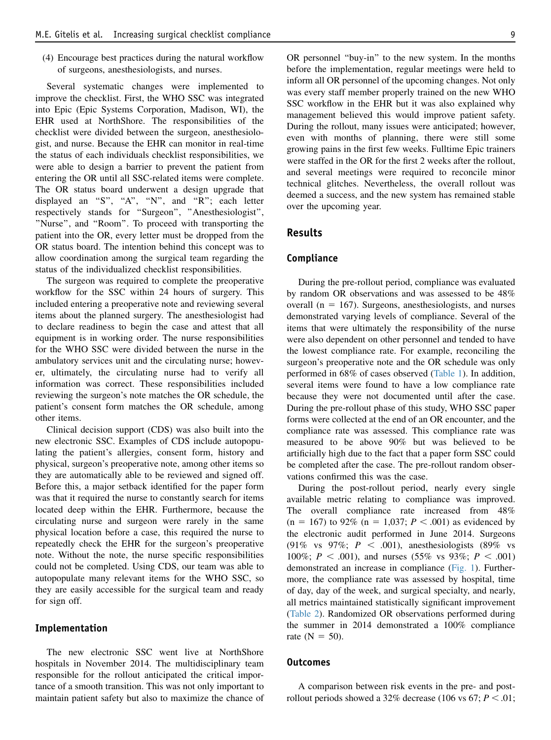(4) Encourage best practices during the natural workflow of surgeons, anesthesiologists, and nurses.

Several systematic changes were implemented to improve the checklist. First, the WHO SSC was integrated into Epic (Epic Systems Corporation, Madison, WI), the EHR used at NorthShore. The responsibilities of the checklist were divided between the surgeon, anesthesiologist, and nurse. Because the EHR can monitor in real-time the status of each individuals checklist responsibilities, we were able to design a barrier to prevent the patient from entering the OR until all SSC-related items were complete. The OR status board underwent a design upgrade that displayed an "S", "A", "N", and "R"; each letter respectively stands for ''Surgeon'', ''Anesthesiologist'', ''Nurse'', and ''Room''. To proceed with transporting the patient into the OR, every letter must be dropped from the OR status board. The intention behind this concept was to allow coordination among the surgical team regarding the status of the individualized checklist responsibilities.

The surgeon was required to complete the preoperative workflow for the SSC within 24 hours of surgery. This included entering a preoperative note and reviewing several items about the planned surgery. The anesthesiologist had to declare readiness to begin the case and attest that all equipment is in working order. The nurse responsibilities for the WHO SSC were divided between the nurse in the ambulatory services unit and the circulating nurse; however, ultimately, the circulating nurse had to verify all information was correct. These responsibilities included reviewing the surgeon's note matches the OR schedule, the patient's consent form matches the OR schedule, among other items.

Clinical decision support (CDS) was also built into the new electronic SSC. Examples of CDS include autopopulating the patient's allergies, consent form, history and physical, surgeon's preoperative note, among other items so they are automatically able to be reviewed and signed off. Before this, a major setback identified for the paper form was that it required the nurse to constantly search for items located deep within the EHR. Furthermore, because the circulating nurse and surgeon were rarely in the same physical location before a case, this required the nurse to repeatedly check the EHR for the surgeon's preoperative note. Without the note, the nurse specific responsibilities could not be completed. Using CDS, our team was able to autopopulate many relevant items for the WHO SSC, so they are easily accessible for the surgical team and ready for sign off.

#### Implementation

The new electronic SSC went live at NorthShore hospitals in November 2014. The multidisciplinary team responsible for the rollout anticipated the critical importance of a smooth transition. This was not only important to maintain patient safety but also to maximize the chance of OR personnel ''buy-in'' to the new system. In the months before the implementation, regular meetings were held to inform all OR personnel of the upcoming changes. Not only was every staff member properly trained on the new WHO SSC workflow in the EHR but it was also explained why management believed this would improve patient safety. During the rollout, many issues were anticipated; however, even with months of planning, there were still some growing pains in the first few weeks. Fulltime Epic trainers were staffed in the OR for the first 2 weeks after the rollout, and several meetings were required to reconcile minor technical glitches. Nevertheless, the overall rollout was deemed a success, and the new system has remained stable over the upcoming year.

#### Results

#### Compliance

During the pre-rollout period, compliance was evaluated by random OR observations and was assessed to be 48% overall ( $n = 167$ ). Surgeons, anesthesiologists, and nurses demonstrated varying levels of compliance. Several of the items that were ultimately the responsibility of the nurse were also dependent on other personnel and tended to have the lowest compliance rate. For example, reconciling the surgeon's preoperative note and the OR schedule was only performed in 68% of cases observed ([Table 1\)](#page-3-0). In addition, several items were found to have a low compliance rate because they were not documented until after the case. During the pre-rollout phase of this study, WHO SSC paper forms were collected at the end of an OR encounter, and the compliance rate was assessed. This compliance rate was measured to be above 90% but was believed to be artificially high due to the fact that a paper form SSC could be completed after the case. The pre-rollout random observations confirmed this was the case.

During the post-rollout period, nearly every single available metric relating to compliance was improved. The overall compliance rate increased from 48%  $(n = 167)$  to 92%  $(n = 1,037; P < .001)$  as evidenced by the electronic audit performed in June 2014. Surgeons (91% vs 97%;  $P < .001$ ), anesthesiologists (89% vs 100%;  $P < .001$ ), and nurses (55% vs 93%;  $P < .001$ ) demonstrated an increase in compliance [\(Fig. 1\)](#page-3-0). Furthermore, the compliance rate was assessed by hospital, time of day, day of the week, and surgical specialty, and nearly, all metrics maintained statistically significant improvement [\(Table 2\)](#page-4-0). Randomized OR observations performed during the summer in 2014 demonstrated a 100% compliance rate  $(N = 50)$ .

#### Outcomes

A comparison between risk events in the pre- and postrollout periods showed a 32% decrease (106 vs 67;  $P < .01$ ;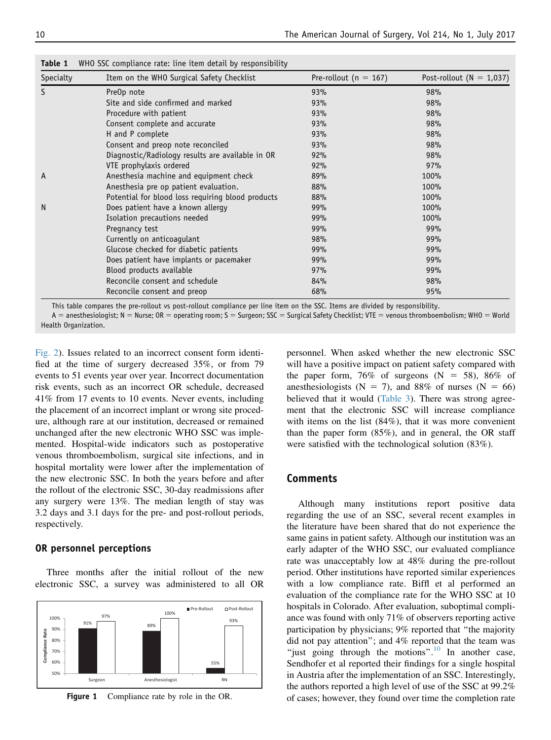| Specialty | Item on the WHO Surgical Safety Checklist         | Pre-rollout ( $n = 167$ ) | Post-rollout ( $N = 1,037$ ) |
|-----------|---------------------------------------------------|---------------------------|------------------------------|
| S         | PreOp note                                        | 93%                       | 98%                          |
|           | Site and side confirmed and marked                | 93%                       | 98%                          |
|           | Procedure with patient                            | 93%                       | 98%                          |
|           | Consent complete and accurate                     | 93%                       | 98%                          |
|           | H and P complete                                  | 93%                       | 98%                          |
|           | Consent and preop note reconciled                 | 93%                       | 98%                          |
|           | Diagnostic/Radiology results are available in OR  | 92%                       | 98%                          |
|           | VTE prophylaxis ordered                           | 92%                       | 97%                          |
| A         | Anesthesia machine and equipment check            | 89%                       | 100%                         |
|           | Anesthesia pre op patient evaluation.             | 88%                       | 100%                         |
|           | Potential for blood loss requiring blood products | 88%                       | 100%                         |
| N         | Does patient have a known allergy                 | 99%                       | 100%                         |
|           | Isolation precautions needed                      | 99%                       | 100%                         |
|           | Pregnancy test                                    | 99%                       | 99%                          |
|           | Currently on anticoagulant                        | 98%                       | 99%                          |
|           | Glucose checked for diabetic patients             | 99%                       | 99%                          |
|           | Does patient have implants or pacemaker           | 99%                       | 99%                          |
|           | Blood products available                          | 97%                       | 99%                          |
|           | Reconcile consent and schedule                    | 84%                       | 98%                          |
|           | Reconcile consent and preop                       | 68%                       | 95%                          |

<span id="page-3-0"></span>Table 1 WHO SSC compliance rate: line item detail by responsibility

This table compares the pre-rollout vs post-rollout compliance per line item on the SSC. Items are divided by responsibility.

A = anesthesiologist; N = Nurse; OR = operating room; S = Surgeon; SSC = Surgical Safety Checklist; VTE = venous thromboembolism; WHO = World Health Organization.

[Fig. 2](#page-4-0)). Issues related to an incorrect consent form identified at the time of surgery decreased 35%, or from 79 events to 51 events year over year. Incorrect documentation risk events, such as an incorrect OR schedule, decreased 41% from 17 events to 10 events. Never events, including the placement of an incorrect implant or wrong site procedure, although rare at our institution, decreased or remained unchanged after the new electronic WHO SSC was implemented. Hospital-wide indicators such as postoperative venous thromboembolism, surgical site infections, and in hospital mortality were lower after the implementation of the new electronic SSC. In both the years before and after the rollout of the electronic SSC, 30-day readmissions after any surgery were 13%. The median length of stay was 3.2 days and 3.1 days for the pre- and post-rollout periods, respectively.

#### OR personnel perceptions

Three months after the initial rollout of the new electronic SSC, a survey was administered to all OR



Figure 1 Compliance rate by role in the OR.

personnel. When asked whether the new electronic SSC will have a positive impact on patient safety compared with the paper form, 76% of surgeons  $(N = 58)$ , 86% of anesthesiologists (N = 7), and 88% of nurses (N = 66) believed that it would [\(Table 3](#page-5-0)). There was strong agreement that the electronic SSC will increase compliance with items on the list  $(84%)$ , that it was more convenient than the paper form (85%), and in general, the OR staff were satisfied with the technological solution (83%).

#### Comments

Although many institutions report positive data regarding the use of an SSC, several recent examples in the literature have been shared that do not experience the same gains in patient safety. Although our institution was an early adapter of the WHO SSC, our evaluated compliance rate was unacceptably low at 48% during the pre-rollout period. Other institutions have reported similar experiences with a low compliance rate. Biffl et al performed an evaluation of the compliance rate for the WHO SSC at 10 hospitals in Colorado. After evaluation, suboptimal compliance was found with only 71% of observers reporting active participation by physicians; 9% reported that ''the majority did not pay attention''; and 4% reported that the team was "just going through the motions".<sup>[10](#page-6-0)</sup> In another case, Sendhofer et al reported their findings for a single hospital in Austria after the implementation of an SSC. Interestingly, the authors reported a high level of use of the SSC at 99.2% of cases; however, they found over time the completion rate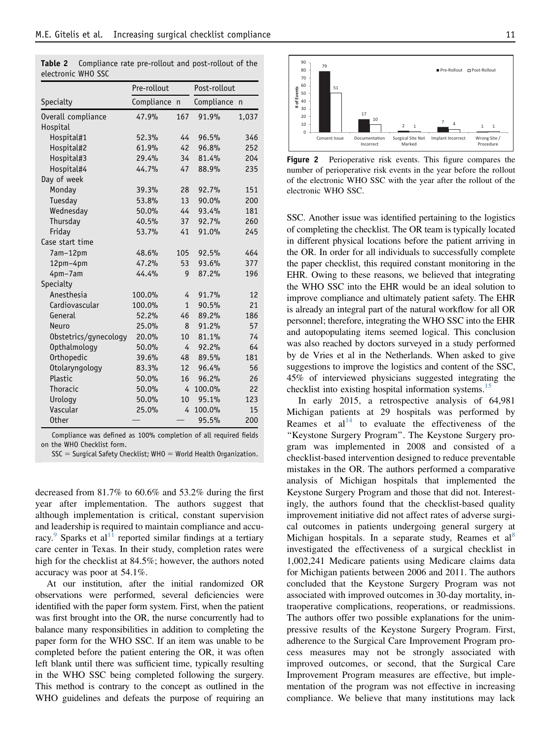|                       | Pre-rollout  |              | Post-rollout |              |
|-----------------------|--------------|--------------|--------------|--------------|
| Specialty             | Compliance n |              | Compliance   | $\mathsf{n}$ |
| Overall compliance    | 47.9%        | 167          | 91.9%        | 1,037        |
| Hospital              |              |              |              |              |
| Hospital#1            | 52.3%        | 44           | 96.5%        | 346          |
| Hospital#2            | 61.9%        | 42           | 96.8%        | 252          |
| Hospital#3            | 29.4%        | 34           | 81.4%        | 204          |
| Hospital#4            | 44.7%        | 47           | 88.9%        | 235          |
| Day of week           |              |              |              |              |
| Monday                | 39.3%        | 28           | 92.7%        | 151          |
| Tuesday               | 53.8%        | 13           | 90.0%        | 200          |
| Wednesday             | 50.0%        | 44           | 93.4%        | 181          |
| Thursday              | 40.5%        | 37           | 92.7%        | 260          |
| Friday                | 53.7%        | 41           | 91.0%        | 245          |
| Case start time       |              |              |              |              |
| 7am-12pm              | 48.6%        | 105          | 92.5%        | 464          |
| 12pm-4pm              | 47.2%        | 53           | 93.6%        | 377          |
| 4pm-7am               | 44.4%        | 9            | 87.2%        | 196          |
| Specialty             |              |              |              |              |
| Anesthesia            | 100.0%       | 4            | 91.7%        | 12           |
| Cardiovascular        | 100.0%       | $\mathbf{1}$ | 90.5%        | 21           |
| General               | 52.2%        | 46           | 89.2%        | 186          |
| Neuro                 | 25.0%        | 8            | 91.2%        | 57           |
| Obstetrics/gynecology | 20.0%        | 10           | 81.1%        | 74           |
| Opthalmology          | 50.0%        | 4            | 92.2%        | 64           |
| Orthopedic            | 39.6%        | 48           | 89.5%        | 181          |
| Otolaryngology        | 83.3%        | 12           | 96.4%        | 56           |
| Plastic               | 50.0%        | 16           | 96.2%        | 26           |
| Thoracic              | 50.0%        | 4            | 100.0%       | 22           |
| Urology               | 50.0%        | 10           | 95.1%        | 123          |
| Vascular              | 25.0%        | 4            | 100.0%       | 15           |
| <b>Other</b>          |              |              | 95.5%        | 200          |

<span id="page-4-0"></span>Table 2 Compliance rate pre-rollout and post-rollout of the electronic WHO SSC

Compliance was defined as 100% completion of all required fields on the WHO Checklist form.

 $SSC =$  Surgical Safety Checklist; WHO = World Health Organization.

decreased from 81.7% to 60.6% and 53.2% during the first year after implementation. The authors suggest that although implementation is critical, constant supervision and leadership is required to maintain compliance and accu-racy.<sup>[9](#page-6-0)</sup> Sparks et al<sup>[11](#page-6-0)</sup> reported similar findings at a tertiary care center in Texas. In their study, completion rates were high for the checklist at 84.5%; however, the authors noted accuracy was poor at 54.1%.

At our institution, after the initial randomized OR observations were performed, several deficiencies were identified with the paper form system. First, when the patient was first brought into the OR, the nurse concurrently had to balance many responsibilities in addition to completing the paper form for the WHO SSC. If an item was unable to be completed before the patient entering the OR, it was often left blank until there was sufficient time, typically resulting in the WHO SSC being completed following the surgery. This method is contrary to the concept as outlined in the WHO guidelines and defeats the purpose of requiring an



Figure 2 Perioperative risk events. This figure compares the number of perioperative risk events in the year before the rollout of the electronic WHO SSC with the year after the rollout of the electronic WHO SSC.

SSC. Another issue was identified pertaining to the logistics of completing the checklist. The OR team is typically located in different physical locations before the patient arriving in the OR. In order for all individuals to successfully complete the paper checklist, this required constant monitoring in the EHR. Owing to these reasons, we believed that integrating the WHO SSC into the EHR would be an ideal solution to improve compliance and ultimately patient safety. The EHR is already an integral part of the natural workflow for all OR personnel; therefore, integrating the WHO SSC into the EHR and autopopulating items seemed logical. This conclusion was also reached by doctors surveyed in a study performed by de Vries et al in the Netherlands. When asked to give suggestions to improve the logistics and content of the SSC, 45% of interviewed physicians suggested integrating the checklist into existing hospital information systems.<sup>15</sup>

In early 2015, a retrospective analysis of 64,981 Michigan patients at 29 hospitals was performed by Reames et  $al<sup>14</sup>$  $al<sup>14</sup>$  $al<sup>14</sup>$  to evaluate the effectiveness of the ''Keystone Surgery Program''. The Keystone Surgery program was implemented in 2008 and consisted of a checklist-based intervention designed to reduce preventable mistakes in the OR. The authors performed a comparative analysis of Michigan hospitals that implemented the Keystone Surgery Program and those that did not. Interestingly, the authors found that the checklist-based quality improvement initiative did not affect rates of adverse surgical outcomes in patients undergoing general surgery at Michigan hospitals. In a separate study, Reames et  $al<sup>8</sup>$  $al<sup>8</sup>$  $al<sup>8</sup>$ investigated the effectiveness of a surgical checklist in 1,002,241 Medicare patients using Medicare claims data for Michigan patients between 2006 and 2011. The authors concluded that the Keystone Surgery Program was not associated with improved outcomes in 30-day mortality, intraoperative complications, reoperations, or readmissions. The authors offer two possible explanations for the unimpressive results of the Keystone Surgery Program. First, adherence to the Surgical Care Improvement Program process measures may not be strongly associated with improved outcomes, or second, that the Surgical Care Improvement Program measures are effective, but implementation of the program was not effective in increasing compliance. We believe that many institutions may lack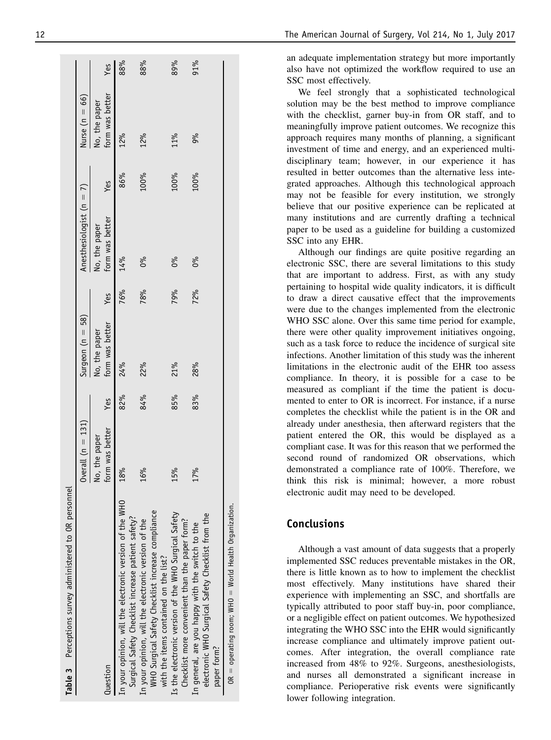| Table 3 Perceptions survey administered to OR personnel                                                                                                        |                                  |     |                                  |     |                                  |      |                                  |     |
|----------------------------------------------------------------------------------------------------------------------------------------------------------------|----------------------------------|-----|----------------------------------|-----|----------------------------------|------|----------------------------------|-----|
|                                                                                                                                                                | Overall $(n = 131)$              |     | Surgeon $(n = 58)$               |     | Anesthesiologist $(n = 7)$       |      | Nurse (n = $66$ )                |     |
| luestion                                                                                                                                                       | form was better<br>No, the paper | Yes | form was better<br>No, the paper | Yes | form was better<br>No, the paper | Yes  | form was better<br>No, the paper | Yes |
| In your opinion, will the electronic version of the WHO                                                                                                        | 18%                              | 82% | 24%                              | 76% | 14%                              | 86%  | 12%                              | 88% |
| WHO Surgical Safety Checklist increase compliance<br>Surgical Safety Checklist increase patient safety?<br>In your opinion, will the electronic version of the | 16%                              | 84% | 22%                              | 78% | 0%                               | 100% | 12%                              | 88% |
| Is the electronic version of the WHO Surgical Safety<br>Checklist more convenient than the paper form?<br>with the items contained on the list?                | 15%                              | 85% | 21%                              | 79% | 0%                               | 100% | 11%                              | 89% |
| electronic WHO Surgical Safety Checklist from the<br>In general, are you happy with the switch to the                                                          | 17%                              | 83% | 28%                              | 72% | 0%                               | 100% | 9%                               | 91% |
| $OR = operating room; WHO = World Health Organization.$<br>paper form?                                                                                         |                                  |     |                                  |     |                                  |      |                                  |     |

<span id="page-5-0"></span>12 The American Journal of Surgery, Vol 214, No 1, July 2017

an adequate implementation strategy but more importantly also have not optimized the workflow required to use an SSC most effectively.

We feel strongly that a sophisticated technological solution may be the best method to improve compliance with the checklist, garner buy-in from OR staff, and to meaningfully improve patient outcomes. We recognize this approach requires many months of planning, a significant investment of time and energy, and an experienced multidisciplinary team; however, in our experience it has resulted in better outcomes than the alternative less integrated approaches. Although this technological approach may not be feasible for every institution, we strongly believe that our positive experience can be replicated at many institutions and are currently drafting a technical paper to be used as a guideline for building a customized SSC into any EHR.

Although our findings are quite positive regarding an electronic SSC, there are several limitations to this study that are important to address. First, as with any study pertaining to hospital wide quality indicators, it is difficult to draw a direct causative effect that the improvements were due to the changes implemented from the electronic WHO SSC alone. Over this same time period for example, there were other quality improvement initiatives ongoing, such as a task force to reduce the incidence of surgical site infections. Another limitation of this study was the inherent limitations in the electronic audit of the EHR too assess compliance. In theory, it is possible for a case to be measured as compliant if the time the patient is documented to enter to OR is incorrect. For instance, if a nurse completes the checklist while the patient is in the OR and already under anesthesia, then afterward registers that the patient entered the OR, this would be displayed as a compliant case. It was for this reason that we performed the second round of randomized OR observations, which demonstrated a compliance rate of 100%. Therefore, we think this risk is minimal; however, a more robust electronic audit may need to be developed.

## Conclusions

Although a vast amount of data suggests that a properly implemented SSC reduces preventable mistakes in the OR, there is little known as to how to implement the checklist most effectively. Many institutions have shared their experience with implementing an SSC, and shortfalls are typically attributed to poor staff buy-in, poor compliance, or a negligible effect on patient outcomes. We hypothesized integrating the WHO SSC into the EHR would significantly increase compliance and ultimately improve patient outcomes. After integration, the overall compliance rate increased from 48% to 92%. Surgeons, anesthesiologists, and nurses all demonstrated a significant increase in compliance. Perioperative risk events were significantly lower following integration.